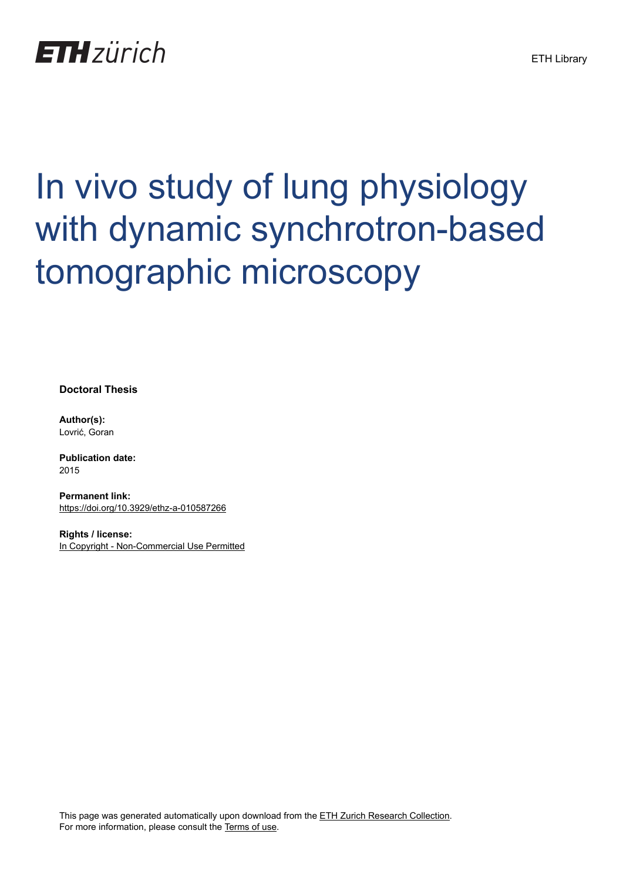

# In vivo study of lung physiology with dynamic synchrotron-based tomographic microscopy

**Doctoral Thesis**

**Author(s):** Lovrić, Goran

**Publication date:** 2015

**Permanent link:** <https://doi.org/10.3929/ethz-a-010587266>

**Rights / license:** [In Copyright - Non-Commercial Use Permitted](http://rightsstatements.org/page/InC-NC/1.0/)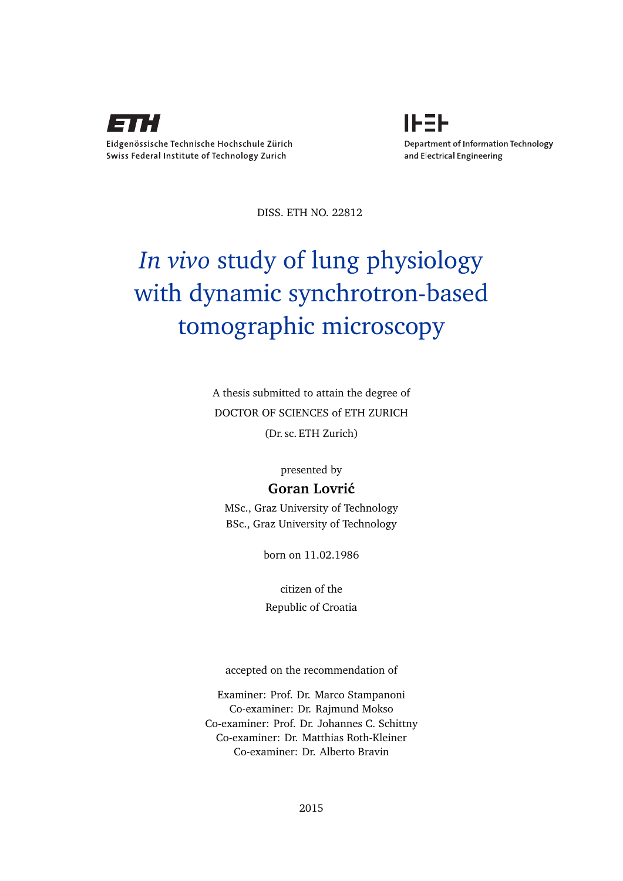



DISS. ETH NO. 22812

# *In vivo* study of lung physiology with dynamic synchrotron-based tomographic microscopy

A thesis submitted to attain the degree of DOCTOR OF SCIENCES of ETH ZURICH (Dr. sc. ETH Zurich)

presented by

## Goran Lovrić

MSc., Graz University of Technology BSc., Graz University of Technology

born on 11.02.1986

citizen of the Republic of Croatia

accepted on the recommendation of

Examiner: Prof. Dr. Marco Stampanoni Co-examiner: Dr. Rajmund Mokso Co-examiner: Prof. Dr. Johannes C. Schittny Co-examiner: Dr. Matthias Roth-Kleiner Co-examiner: Dr. Alberto Bravin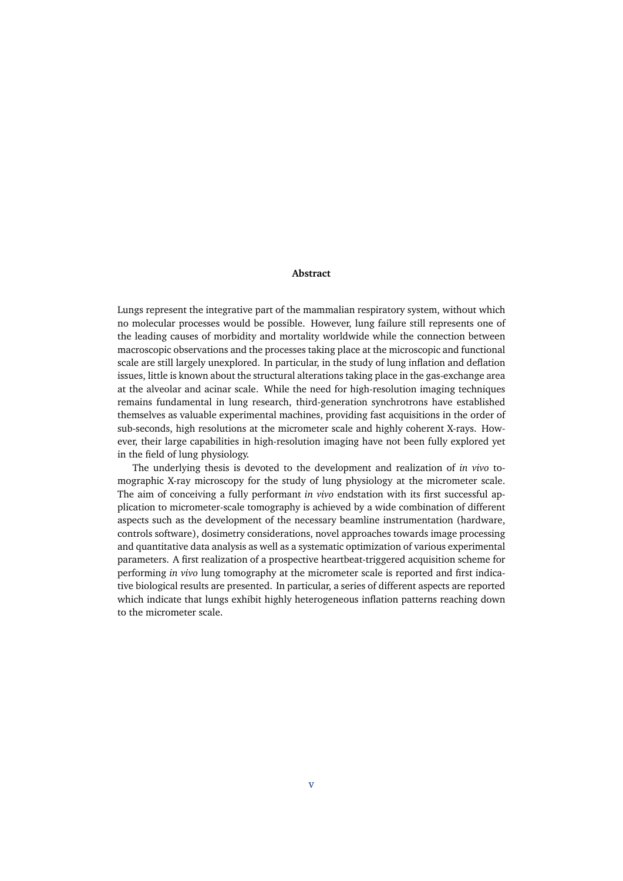### **Abstract**

Lungs represent the integrative part of the mammalian respiratory system, without which no molecular processes would be possible. However, lung failure still represents one of the leading causes of morbidity and mortality worldwide while the connection between macroscopic observations and the processes taking place at the microscopic and functional scale are still largely unexplored. In particular, in the study of lung inflation and deflation issues, little is known about the structural alterations taking place in the gas-exchange area at the alveolar and acinar scale. While the need for high-resolution imaging techniques remains fundamental in lung research, third-generation synchrotrons have established themselves as valuable experimental machines, providing fast acquisitions in the order of sub-seconds, high resolutions at the micrometer scale and highly coherent X-rays. However, their large capabilities in high-resolution imaging have not been fully explored yet in the field of lung physiology.

The underlying thesis is devoted to the development and realization of *in vivo* tomographic X-ray microscopy for the study of lung physiology at the micrometer scale. The aim of conceiving a fully performant *in vivo* endstation with its first successful application to micrometer-scale tomography is achieved by a wide combination of different aspects such as the development of the necessary beamline instrumentation (hardware, controls software), dosimetry considerations, novel approaches towards image processing and quantitative data analysis as well as a systematic optimization of various experimental parameters. A first realization of a prospective heartbeat-triggered acquisition scheme for performing *in vivo* lung tomography at the micrometer scale is reported and first indicative biological results are presented. In particular, a series of different aspects are reported which indicate that lungs exhibit highly heterogeneous inflation patterns reaching down to the micrometer scale.